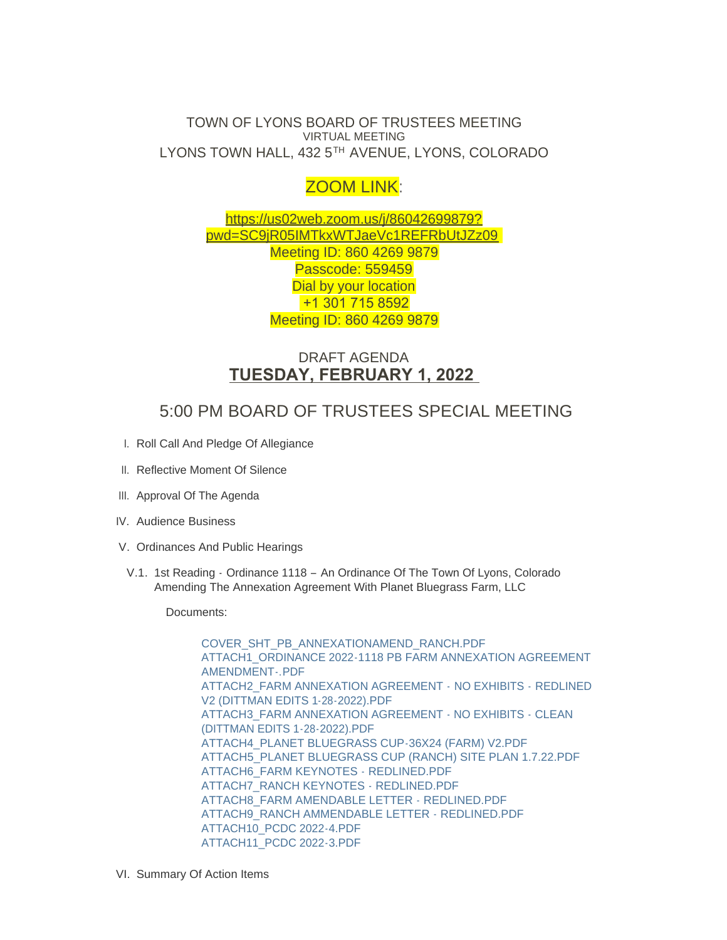### TOWN OF LYONS BOARD OF TRUSTEES MEETING VIRTUAL MEETING LYONS TOWN HALL, 432 5TH AVENUE, LYONS, COLORADO

# ZOOM LINK:

https://us02web.zoom.us/j/86042699879? pw[d=SC9jR05IMTkxWTJaeVc1REFRbUtJZz09](https://us02web.zoom.us/j/86042699879?pwd=SC9jR05IMTkxWTJaeVc1REFRbUtJZz09) Meeting ID: 860 4269 9879 Passcode: 559459 Dial by your location +1 301 715 8592 Meeting ID: 860 4269 9879

## DRAFT AGENDA **TUESDAY, FEBRUARY 1, 2022**

## 5:00 PM BOARD OF TRUSTEES SPECIAL MEETING

- I. Roll Call And Pledge Of Allegiance
- II. Reflective Moment Of Silence
- III. Approval Of The Agenda
- IV. Audience Business
- V. Ordinances And Public Hearings
- V.1. 1st Reading Ordinance 1118 An Ordinance Of The Town Of Lyons, Colorado Amending The Annexation Agreement With Planet Bluegrass Farm, LLC

Documents:

[COVER\\_SHT\\_PB\\_ANNEXATIONAMEND\\_RANCH.PDF](https://www.townoflyons.com/AgendaCenter/ViewFile/Item/9772?fileID=20153) ATTACH1\_ORDINANCE 2022-1118 PB FARM ANNEXATION AGREEMENT AMENDMENT-.PDF [ATTACH2\\_FARM ANNEXATION AGREEMENT -](https://www.townoflyons.com/AgendaCenter/ViewFile/Item/9772?fileID=20155) NO EXHIBITS - REDLINED V2 (DITTMAN EDITS 1-28-2022).PDF [ATTACH3\\_FARM ANNEXATION AGREEMENT - NO EXHIBITS - CLEAN](https://www.townoflyons.com/AgendaCenter/ViewFile/Item/9772?fileID=20156)  (DITTMAN EDITS 1-28-2022).PDF [ATTACH4\\_PLANET BLUEGRASS CUP-36X24 \(FARM\) V2.PDF](https://www.townoflyons.com/AgendaCenter/ViewFile/Item/9772?fileID=20157) [ATTACH5\\_PLANET BLUEGRASS CUP \(RANCH\) SITE PLAN 1.7.22.PDF](https://www.townoflyons.com/AgendaCenter/ViewFile/Item/9772?fileID=20158) [ATTACH6\\_FARM KEYNOTES - REDLINED.PDF](https://www.townoflyons.com/AgendaCenter/ViewFile/Item/9772?fileID=20159) [ATTACH7\\_RANCH KEYNOTES - REDLINED.PDF](https://www.townoflyons.com/AgendaCenter/ViewFile/Item/9772?fileID=20160) [ATTACH8\\_FARM AMENDABLE LETTER - REDLINED.PDF](https://www.townoflyons.com/AgendaCenter/ViewFile/Item/9772?fileID=20161) [ATTACH9\\_RANCH AMMENDABLE LETTER - REDLINED.PDF](https://www.townoflyons.com/AgendaCenter/ViewFile/Item/9772?fileID=20162) [ATTACH10\\_PCDC 2022-4.PDF](https://www.townoflyons.com/AgendaCenter/ViewFile/Item/9772?fileID=20163) [ATTACH11\\_PCDC 2022-3.PDF](https://www.townoflyons.com/AgendaCenter/ViewFile/Item/9772?fileID=20164)

VI. Summary Of Action Items